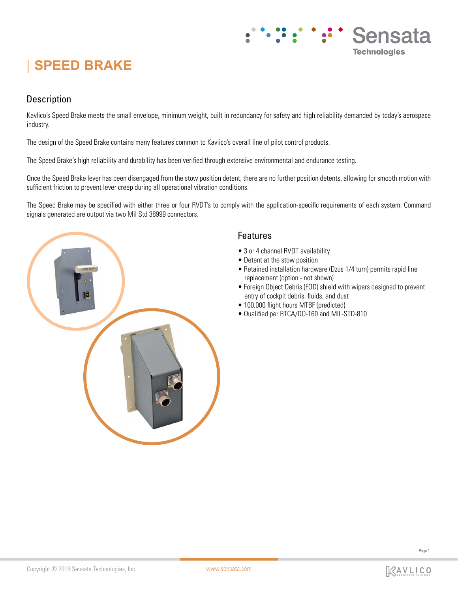# **| SPEED BRAKE**

# Description

Kavlico's Speed Brake meets the small envelope, minimum weight, built in redundancy for safety and high reliability demanded by today's aerospace industry.

The design of the Speed Brake contains many features common to Kavlico's overall line of pilot control products.

The Speed Brake's high reliability and durability has been verified through extensive environmental and endurance testing.

Once the Speed Brake lever has been disengaged from the stow position detent, there are no further position detents, allowing for smooth motion with sufficient friction to prevent lever creep during all operational vibration conditions.

The Speed Brake may be specified with either three or four RVDT's to comply with the application-specific requirements of each system. Command signals generated are output via two Mil Std 38999 connectors.



## Features

- 3 or 4 channel RVDT availability
- Detent at the stow position
- Retained installation hardware (Dzus 1/4 turn) permits rapid line replacement (option - not shown)
- Foreign Object Debris (FOD) shield with wipers designed to prevent entry of cockpit debris, fluids, and dust

Sensata

**Technologies** 

- 100,000 flight hours MTBF (predicted)
- Qualified per RTCA/DO-160 and MIL-STD-810